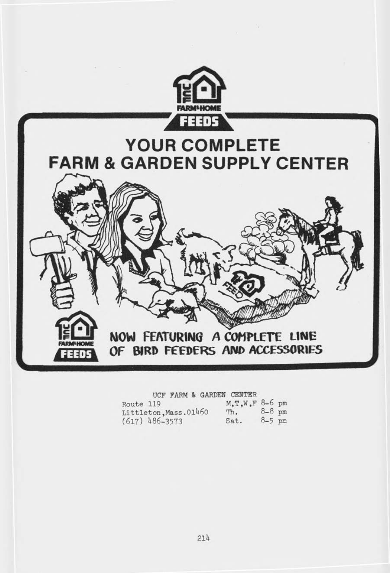

**UCF FARM & GARDEN CENTER**

| Route 119             | M, T, W, F 8-6 pm |          |  |
|-----------------------|-------------------|----------|--|
| Littleton, Mass.01460 | $m_{\bullet}$     | $8-8$ pm |  |
| $(617)$ 486-3573      | Sat.              | $8-5$ pm |  |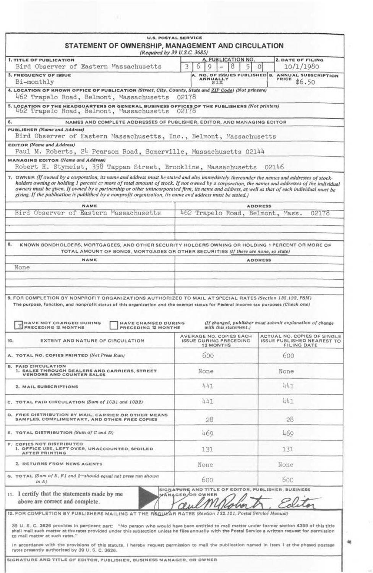| <b>U.S. POSTAL SERVICE</b><br>STATEMENT OF OWNERSHIP, MANAGEMENT AND CIRCULATION<br>(Required by 39 U.S.C. 3685)                                                                                                                                                                                                                                                                                                                                                                                                                                             |                                                                        |                                                                                         |
|--------------------------------------------------------------------------------------------------------------------------------------------------------------------------------------------------------------------------------------------------------------------------------------------------------------------------------------------------------------------------------------------------------------------------------------------------------------------------------------------------------------------------------------------------------------|------------------------------------------------------------------------|-----------------------------------------------------------------------------------------|
| <b>1. TITLE OF PUBLICATION</b><br>Bird Observer of Eastern Massachusetts                                                                                                                                                                                                                                                                                                                                                                                                                                                                                     | A, PUBLICATION NO.<br>9<br>8<br>3.<br>6<br>5<br>$-$                    | <b>2. DATE OF FILING</b><br>10/1/1980<br>$\Omega$                                       |
| <b>3. FREQUENCY OF ISSUE</b><br>Bi-monthly                                                                                                                                                                                                                                                                                                                                                                                                                                                                                                                   | A. NO. OF ISSUES PUBLISHED B.<br>ANNUALLY                              | <b>ANNUAL SUBSCRIPTION</b><br>PRICE<br>\$6.50                                           |
| 4. LOCATION OF KNOWN OFFICE OF PUBLICATION (Street, City, County, State and ZIP Code) (Not printers)<br>462 Trapelo Road, Belmont, Massachusetts                                                                                                                                                                                                                                                                                                                                                                                                             | 02178                                                                  |                                                                                         |
| 5. LOCATION OF THE HEADQUARTERS OR GENERAL BUSINESS OFFICES OF THE PUBLISHERS (Not printers)<br>462 Trapelo Road, Belmont, Massachusetts                                                                                                                                                                                                                                                                                                                                                                                                                     | 02178                                                                  |                                                                                         |
| NAMES AND COMPLETE ADDRESSES OF PUBLISHER, EDITOR, AND MANAGING EDITOR<br>6.                                                                                                                                                                                                                                                                                                                                                                                                                                                                                 |                                                                        |                                                                                         |
| PUBLISHER (Name and Address)<br>Bird Observer of Eastern Massachusetts, Inc., Belmont, Massachusetts                                                                                                                                                                                                                                                                                                                                                                                                                                                         |                                                                        |                                                                                         |
| <b>EDITOR</b> (Name and Address)<br>Paul M. Roberts, 24 Pearson Road, Somerville, Massachusetts 02144                                                                                                                                                                                                                                                                                                                                                                                                                                                        |                                                                        |                                                                                         |
| <b>MANAGING EDITOR (Name and Address)</b><br>Robert H. Stymeist, 358 Tappan Street, Brookline, Massachusetts 02146                                                                                                                                                                                                                                                                                                                                                                                                                                           |                                                                        |                                                                                         |
| 7. OWNER (If owned by a corporation, its name and address must be stated and also immediately thereunder the names and addresses of stock-<br>holders owning or holding 1 percent c. more of total amount of stock, If not owned by a corporation, the names and addresses of the individual<br>owners must be given. If owned by a partnership or other unincorporated firm, its name and address, as well as that of each individual must be<br>giving. If the publication is published by a nonprofit organization, its name and address must be stated.) |                                                                        |                                                                                         |
| NAME<br>Bird Observer of Eastern Massachusetts                                                                                                                                                                                                                                                                                                                                                                                                                                                                                                               | 462 Trapelo Road, Belmont, Mass.                                       | <b>ADDRESS</b><br>02178                                                                 |
| 8.<br>KNOWN BONDHOLDERS, MORTGAGEES, AND OTHER SECURITY HOLDERS OWNING OR HOLDING 1 PERCENT OR MORE OF<br>TOTAL AMOUNT OF BONDS, MORTGAGES OR OTHER SECURITIES (If there are none, so state)<br>NAME<br>None                                                                                                                                                                                                                                                                                                                                                 |                                                                        | <b>ADDRESS</b>                                                                          |
| The purpose, function, and nonprofit status of this organization and the exempt status for Federal income tax purposes (Check one)                                                                                                                                                                                                                                                                                                                                                                                                                           |                                                                        |                                                                                         |
| 9. FOR COMPLETION BY NONPROFIT ORGANIZATIONS AUTHORIZED TO MAIL AT SPECIAL RATES (Section 132.122, PSM)<br><b>HAVE NOT CHANGED DURING</b><br><b>HAVE CHANGED DURING</b><br>PRECEDING 12 MONTHS<br>PRECEDING 12 MONTHS                                                                                                                                                                                                                                                                                                                                        | with this statement.)<br>AVERAGE NO. COPIES EACH                       | (If changed, publisher must submit explanation of change<br>ACTUAL NO. COPIES OF SINGLE |
| EXTENT AND NATURE OF CIRCULATION                                                                                                                                                                                                                                                                                                                                                                                                                                                                                                                             | <b>ISSUE DURING PRECEDING</b><br><b>12 MONTHS</b>                      | <b>FILING DATE</b>                                                                      |
|                                                                                                                                                                                                                                                                                                                                                                                                                                                                                                                                                              | 600                                                                    | <b>ISSUE PUBLISHED NEAREST TO</b><br>600                                                |
| 1. SALES THROUGH DEALERS AND CARRIERS, STREET<br><b>VENDORS AND COUNTER SALES</b>                                                                                                                                                                                                                                                                                                                                                                                                                                                                            | None                                                                   | None                                                                                    |
| 2. MAIL SUBSCRIPTIONS                                                                                                                                                                                                                                                                                                                                                                                                                                                                                                                                        | 441                                                                    | 441                                                                                     |
|                                                                                                                                                                                                                                                                                                                                                                                                                                                                                                                                                              | 441                                                                    | 441                                                                                     |
| SAMPLES, COMPLIMENTARY, AND OTHER FREE COPIES                                                                                                                                                                                                                                                                                                                                                                                                                                                                                                                | 28                                                                     | 28                                                                                      |
| TOTAL DISTRIBUTION (Sum of $C$ and $D$ )                                                                                                                                                                                                                                                                                                                                                                                                                                                                                                                     | 469                                                                    | 469                                                                                     |
| I. OFFICE USE, LEFT OVER, UNACCOUNTED, SPOILED<br><b>AFTER PRINTING</b>                                                                                                                                                                                                                                                                                                                                                                                                                                                                                      | 131                                                                    | 131                                                                                     |
| 2. RETURNS FROM NEWS AGENTS                                                                                                                                                                                                                                                                                                                                                                                                                                                                                                                                  | None                                                                   | None                                                                                    |
| in A                                                                                                                                                                                                                                                                                                                                                                                                                                                                                                                                                         | 600                                                                    | 600                                                                                     |
| above are correct and complete.                                                                                                                                                                                                                                                                                                                                                                                                                                                                                                                              | SIGNATURE AND TITLE OF EDITOR, PUBLISHER, BUSINESS<br>MANAGER OR OWNER |                                                                                         |
| 10.<br>A. TOTAL NO. COPIES PRINTED (Net Press Run)<br><b>B. PAID CIRCULATION</b><br>C. TOTAL PAID CIRCULATION (Sum of 1031 and 10B2)<br>D. FREE DISTRIBUTION BY MAIL, CARRIER OR OTHER MEANS<br><b>F. COPIES NOT DISTRIBUTED</b><br>G. TOTAL (Sum of E, F1 and 2-should equal net press run shown<br>11. I certify that the statements made by me<br>12. FOR COMPLETION BY PUBLISHERS MAILING AT THE REGULAR RATES (Section                                                                                                                                  | 132.121, Postal Service Manual)                                        |                                                                                         |
| 39 U.S. C. 3626 provides in pertinent part: "No person who would have been entitled to mail matter under former section 4359 of this title<br>shall mall such matter at the rates provided under this subsection unless he files annually with the Postal Service a written request for permission<br>to mall matter at such rates."<br>In accordance with the provisions of this statute, I hereby request permission to mail the publication named in Item 1 at the phased postage                                                                         |                                                                        |                                                                                         |